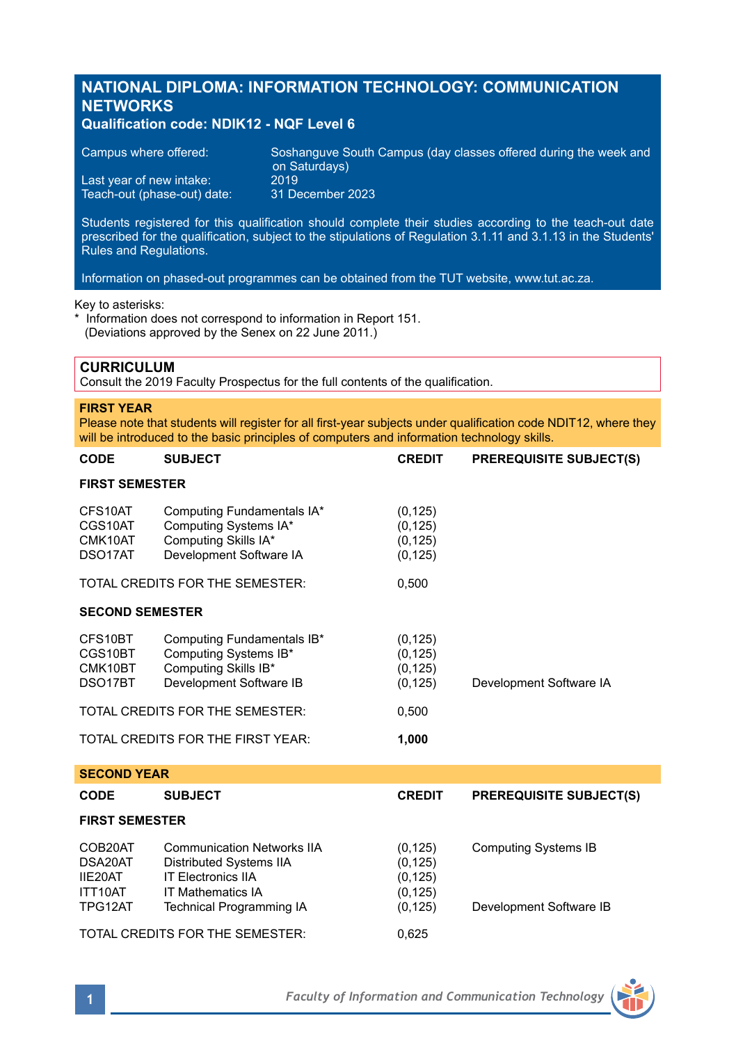# **NATIONAL DIPLOMA: INFORMATION TECHNOLOGY: COMMUNICATION NETWORKS**

## **Qualification code: NDIK12 - NQF Level 6**

| Campus where offered:       | Soshanguve South Campus (day classes offered during the week and b<br>on Saturdays) |
|-----------------------------|-------------------------------------------------------------------------------------|
| Last year of new intake:    | 2019                                                                                |
| Teach-out (phase-out) date: | 31 December 2023                                                                    |

Students registered for this qualification should complete their studies according to the teach-out date prescribed for the qualification, subject to the stipulations of Regulation 3.1.11 and 3.1.13 in the Students' Rules and Regulations.

Information on phased-out programmes can be obtained from the TUT website, www.tut.ac.za.

#### Key to asterisks:

\* Information does not correspond to information in Report 151. (Deviations approved by the Senex on 22 June 2011.)

## **CURRICULUM**

Consult the 2019 Faculty Prospectus for the full contents of the qualification.

#### **FIRST YEAR**

Please note that students will register for all first-year subjects under qualification code NDIT12, where they will be introduced to the basic principles of computers and information technology skills.

| <b>CODE</b>                                           | <b>SUBJECT</b>                                                                                         | <b>CREDIT</b>                                | <b>PREREQUISITE SUBJECT(S)</b> |  |  |
|-------------------------------------------------------|--------------------------------------------------------------------------------------------------------|----------------------------------------------|--------------------------------|--|--|
| <b>FIRST SEMESTER</b>                                 |                                                                                                        |                                              |                                |  |  |
| CFS10AT<br>CGS10AT<br>CMK10AT<br>DSO <sub>17</sub> AT | Computing Fundamentals IA*<br>Computing Systems IA*<br>Computing Skills IA*<br>Development Software IA | (0, 125)<br>(0, 125)<br>(0, 125)<br>(0, 125) |                                |  |  |
|                                                       | TOTAL CREDITS FOR THE SEMESTER:                                                                        | 0,500                                        |                                |  |  |
| <b>SECOND SEMESTER</b>                                |                                                                                                        |                                              |                                |  |  |
| CFS10BT<br>CGS10BT<br>CMK10BT<br>DSO17BT              | Computing Fundamentals IB*<br>Computing Systems IB*<br>Computing Skills IB*<br>Development Software IB | (0, 125)<br>(0, 125)<br>(0, 125)<br>(0, 125) | Development Software IA        |  |  |
|                                                       | TOTAL CREDITS FOR THE SEMESTER:                                                                        | 0,500                                        |                                |  |  |
|                                                       | TOTAL CREDITS FOR THE FIRST YEAR:                                                                      | 1,000                                        |                                |  |  |
| <b>SECOND YEAR</b>                                    |                                                                                                        |                                              |                                |  |  |
| <b>CODE</b>                                           | <b>SUBJECT</b>                                                                                         | <b>CREDIT</b>                                | <b>PREREQUISITE SUBJECT(S)</b> |  |  |
| <b>FIRST SEMESTER</b>                                 |                                                                                                        |                                              |                                |  |  |

| COB20AT<br>DSA20AT<br>IIE20AT<br>ITT10AT<br>TPG12AT | <b>Communication Networks IIA</b><br>Distributed Systems IIA<br><b>IT Electronics IIA</b><br><b>IT Mathematics IA</b><br>Technical Programming IA | (0, 125)<br>(0, 125)<br>(0, 125)<br>(0, 125)<br>(0, 125) | <b>Computing Systems IB</b><br>Development Software IB |
|-----------------------------------------------------|---------------------------------------------------------------------------------------------------------------------------------------------------|----------------------------------------------------------|--------------------------------------------------------|
|                                                     | TOTAL CREDITS FOR THE SEMESTER:                                                                                                                   | 0.625                                                    |                                                        |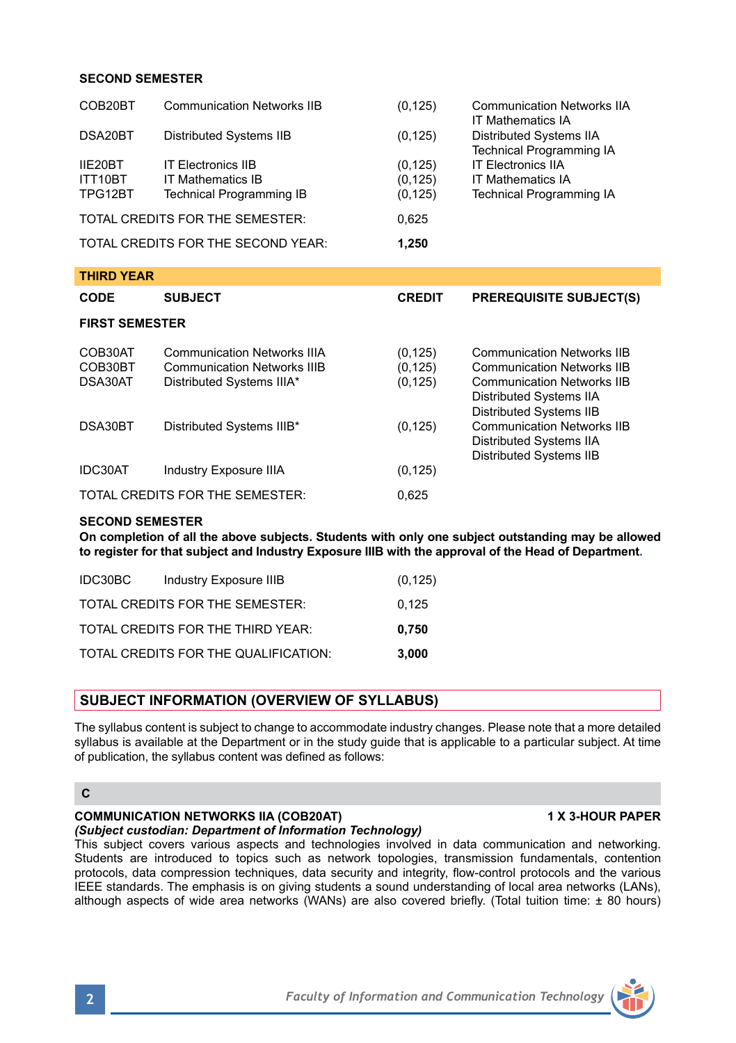### **SECOND SEMESTER**

| COB20BT                                     | <b>Communication Networks IIB</b>                                                                     | (0, 125)                         | <b>Communication Networks IIA</b><br><b>IT Mathematics IA</b>                                                                                 |  |  |
|---------------------------------------------|-------------------------------------------------------------------------------------------------------|----------------------------------|-----------------------------------------------------------------------------------------------------------------------------------------------|--|--|
| DSA20BT                                     | Distributed Systems IIB                                                                               | (0, 125)                         | Distributed Systems IIA<br><b>Technical Programming IA</b>                                                                                    |  |  |
| IIF20BT<br>ITT10BT                          | <b>IT Flectronics IIB</b><br><b>IT Mathematics IB</b>                                                 | (0, 125)<br>(0, 125)             | <b>IT Flectronics IIA</b><br><b>IT Mathematics IA</b>                                                                                         |  |  |
| TPG12BT                                     | <b>Technical Programming IB</b>                                                                       | (0, 125)                         | <b>Technical Programming IA</b>                                                                                                               |  |  |
| TOTAL CREDITS FOR THE SEMESTER:<br>0,625    |                                                                                                       |                                  |                                                                                                                                               |  |  |
| TOTAL CREDITS FOR THE SECOND YEAR:<br>1,250 |                                                                                                       |                                  |                                                                                                                                               |  |  |
| <b>THIRD YEAR</b>                           |                                                                                                       |                                  |                                                                                                                                               |  |  |
| <b>CODE</b>                                 | <b>SUBJECT</b>                                                                                        | <b>CREDIT</b>                    | <b>PREREQUISITE SUBJECT(S)</b>                                                                                                                |  |  |
|                                             |                                                                                                       |                                  |                                                                                                                                               |  |  |
| <b>FIRST SEMESTER</b>                       |                                                                                                       |                                  |                                                                                                                                               |  |  |
| COB30AT<br>COB30BT<br>DSA30AT               | <b>Communication Networks IIIA</b><br><b>Communication Networks IIIB</b><br>Distributed Systems IIIA* | (0, 125)<br>(0, 125)<br>(0, 125) | <b>Communication Networks IIB</b><br><b>Communication Networks IIB</b><br><b>Communication Networks IIB</b>                                   |  |  |
| DSA30BT                                     | Distributed Systems IIIB*                                                                             | (0, 125)                         | Distributed Systems IIA<br>Distributed Systems IIB<br><b>Communication Networks IIB</b><br>Distributed Systems IIA<br>Distributed Systems IIB |  |  |
| IDC30AT                                     | Industry Exposure IIIA                                                                                | (0, 125)                         |                                                                                                                                               |  |  |

#### **SECOND SEMESTER**

**On completion of all the above subjects. Students with only one subject outstanding may be allowed to register for that subject and Industry Exposure IIIB with the approval of the Head of Department.**

| IDC30BC | Industry Exposure IIIB               | (0, 125) |
|---------|--------------------------------------|----------|
|         | TOTAL CREDITS FOR THE SEMESTER:      | 0.125    |
|         | TOTAL CREDITS FOR THE THIRD YEAR:    | 0.750    |
|         | TOTAL CREDITS FOR THE QUALIFICATION: | 3.000    |

### **SUBJECT INFORMATION (OVERVIEW OF SYLLABUS)**

The syllabus content is subject to change to accommodate industry changes. Please note that a more detailed syllabus is available at the Department or in the study guide that is applicable to a particular subject. At time of publication, the syllabus content was defined as follows:

## **C**

## **COMMUNICATION NETWORKS IIA (COB20AT) 1 X 3-HOUR PAPER**

## *(Subject custodian: Department of Information Technology)*

This subject covers various aspects and technologies involved in data communication and networking. Students are introduced to topics such as network topologies, transmission fundamentals, contention protocols, data compression techniques, data security and integrity, flow-control protocols and the various IEEE standards. The emphasis is on giving students a sound understanding of local area networks (LANs), although aspects of wide area networks (WANs) are also covered briefly. (Total tuition time: ± 80 hours)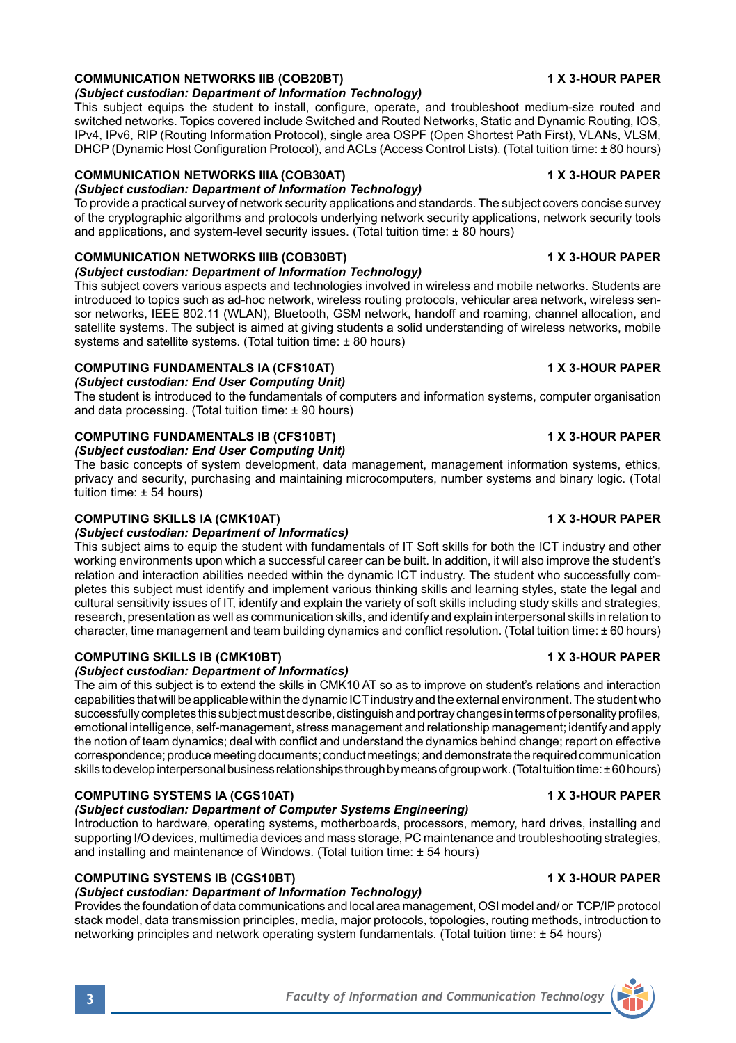#### **COMMUNICATION NETWORKS IIB (COB20BT) 1 X 3-HOUR PAPER** *(Subject custodian: Department of Information Technology)*

This subject equips the student to install, configure, operate, and troubleshoot medium-size routed and switched networks. Topics covered include Switched and Routed Networks, Static and Dynamic Routing, IOS, IPv4, IPv6, RIP (Routing Information Protocol), single area OSPF (Open Shortest Path First), VLANs, VLSM, DHCP (Dynamic Host Configuration Protocol), and ACLs (Access Control Lists). (Total tuition time: ± 80 hours)

## **COMMUNICATION NETWORKS IIIA (COB30AT) 1 X 3-HOUR PAPER**

*(Subject custodian: Department of Information Technology)* To provide a practical survey of network security applications and standards. The subject covers concise survey of the cryptographic algorithms and protocols underlying network security applications, network security tools and applications, and system-level security issues. (Total tuition time: ± 80 hours)

# **COMMUNICATION NETWORKS IIIB (COB30BT) 1 X 3-HOUR PAPER**

*(Subject custodian: Department of Information Technology)*

This subject covers various aspects and technologies involved in wireless and mobile networks. Students are introduced to topics such as ad-hoc network, wireless routing protocols, vehicular area network, wireless sensor networks, IEEE 802.11 (WLAN), Bluetooth, GSM network, handoff and roaming, channel allocation, and satellite systems. The subject is aimed at giving students a solid understanding of wireless networks, mobile systems and satellite systems. (Total tuition time: ± 80 hours)

#### **COMPUTING FUNDAMENTALS IA (CFS10AT) 1 X 3-HOUR PAPER** *(Subject custodian: End User Computing Unit)*

The student is introduced to the fundamentals of computers and information systems, computer organisation and data processing. (Total tuition time: ± 90 hours)

# **COMPUTING FUNDAMENTALS IB (CFS10BT) 1 X 3-HOUR PAPER**

*(Subject custodian: End User Computing Unit)*

The basic concepts of system development, data management, management information systems, ethics, privacy and security, purchasing and maintaining microcomputers, number systems and binary logic. (Total tuition time: ± 54 hours)

### **COMPUTING SKILLS IA (CMK10AT) 1 X 3-HOUR PAPER**

## *(Subject custodian: Department of Informatics)*

This subject aims to equip the student with fundamentals of IT Soft skills for both the ICT industry and other working environments upon which a successful career can be built. In addition, it will also improve the student's relation and interaction abilities needed within the dynamic ICT industry. The student who successfully completes this subject must identify and implement various thinking skills and learning styles, state the legal and cultural sensitivity issues of IT, identify and explain the variety of soft skills including study skills and strategies, research, presentation as well as communication skills, and identify and explain interpersonal skills in relation to character, time management and team building dynamics and conflict resolution. (Total tuition time: ± 60 hours)

# **COMPUTING SKILLS IB (CMK10BT) 1 X 3-HOUR PAPER**

*(Subject custodian: Department of Informatics)*

The aim of this subject is to extend the skills in CMK10 AT so as to improve on student's relations and interaction capabilities that will be applicable within the dynamic ICT industry and the external environment. The student who successfully completes this subject must describe, distinguish and portray changes in terms of personality profiles, emotional intelligence, self-management, stress management and relationship management; identify and apply the notion of team dynamics; deal with conflict and understand the dynamics behind change; report on effective correspondence; produce meeting documents; conduct meetings; and demonstrate the required communication skills to develop interpersonal business relationships through by means of group work. (Total tuition time: ± 60 hours)

## **COMPUTING SYSTEMS IA (CGS10AT) 1 X 3-HOUR PAPER**

## *(Subject custodian: Department of Computer Systems Engineering)*

Introduction to hardware, operating systems, motherboards, processors, memory, hard drives, installing and supporting I/O devices, multimedia devices and mass storage, PC maintenance and troubleshooting strategies, and installing and maintenance of Windows. (Total tuition time: ± 54 hours)

# **COMPUTING SYSTEMS IB (CGS10BT) 1 X 3-HOUR PAPER**

## *(Subject custodian: Department of Information Technology)*

Provides the foundation of data communications and local area management, OSI model and/ or TCP/IP protocol stack model, data transmission principles, media, major protocols, topologies, routing methods, introduction to networking principles and network operating system fundamentals. (Total tuition time: ± 54 hours)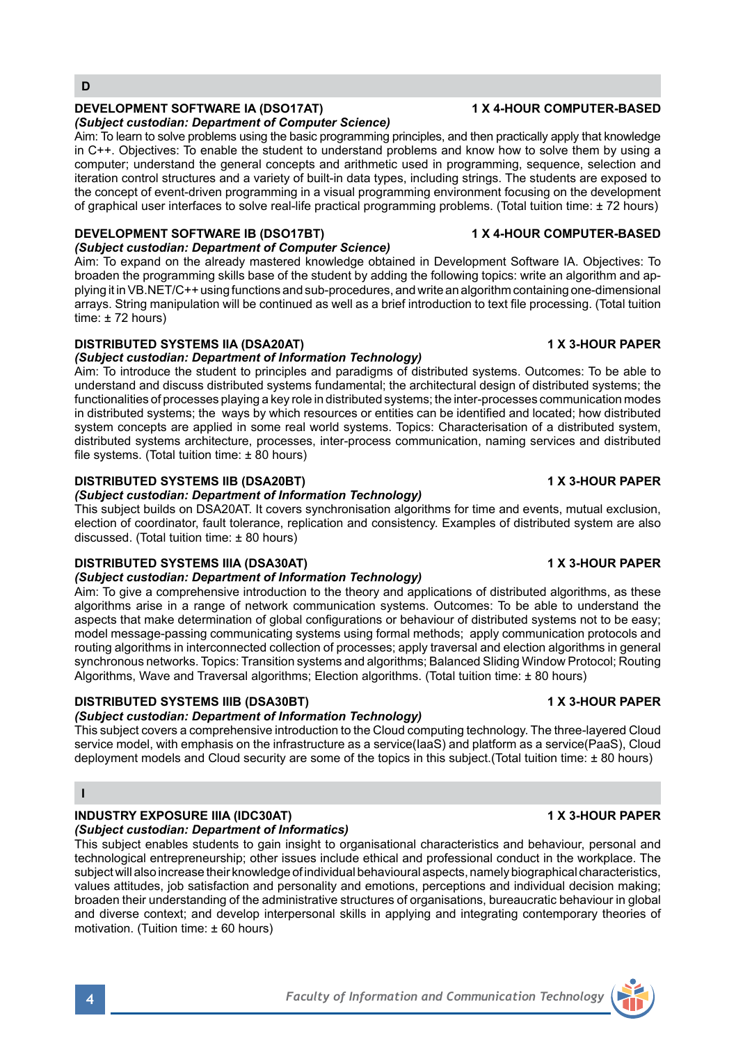### **DEVELOPMENT SOFTWARE IA (DSO17AT) 1 X 4-HOUR COMPUTER-BASED**

### *(Subject custodian: Department of Computer Science)*

Aim: To learn to solve problems using the basic programming principles, and then practically apply that knowledge in C++. Objectives: To enable the student to understand problems and know how to solve them by using a computer; understand the general concepts and arithmetic used in programming, sequence, selection and iteration control structures and a variety of built-in data types, including strings. The students are exposed to the concept of event-driven programming in a visual programming environment focusing on the development of graphical user interfaces to solve real-life practical programming problems. (Total tuition time: ± 72 hours)

### **DEVELOPMENT SOFTWARE IB (DSO17BT) 1 X 4-HOUR COMPUTER-BASED**

### *(Subject custodian: Department of Computer Science)*

Aim: To expand on the already mastered knowledge obtained in Development Software IA. Objectives: To broaden the programming skills base of the student by adding the following topics: write an algorithm and applying it in VB.NET/C++ using functions and sub-procedures, and write an algorithm containing one-dimensional arrays. String manipulation will be continued as well as a brief introduction to text file processing. (Total tuition time:  $± 72$  hours)

## **DISTRIBUTED SYSTEMS IIA (DSA20AT) 1 X 3-HOUR PAPER**

#### *(Subject custodian: Department of Information Technology)*

Aim: To introduce the student to principles and paradigms of distributed systems. Outcomes: To be able to understand and discuss distributed systems fundamental; the architectural design of distributed systems; the functionalities of processes playing a key role in distributed systems; the inter-processes communication modes in distributed systems; the ways by which resources or entities can be identified and located; how distributed system concepts are applied in some real world systems. Topics: Characterisation of a distributed system, distributed systems architecture, processes, inter-process communication, naming services and distributed file systems. (Total tuition time: ± 80 hours)

## **DISTRIBUTED SYSTEMS IIB (DSA20BT) 1 X 3-HOUR PAPER**

### *(Subject custodian: Department of Information Technology)*

This subject builds on DSA20AT. It covers synchronisation algorithms for time and events, mutual exclusion, election of coordinator, fault tolerance, replication and consistency. Examples of distributed system are also discussed. (Total tuition time: ± 80 hours)

## **DISTRIBUTED SYSTEMS IIIA (DSA30AT) 1 X 3-HOUR PAPER**

#### *(Subject custodian: Department of Information Technology)*

Aim: To give a comprehensive introduction to the theory and applications of distributed algorithms, as these algorithms arise in a range of network communication systems. Outcomes: To be able to understand the aspects that make determination of global configurations or behaviour of distributed systems not to be easy; model message-passing communicating systems using formal methods; apply communication protocols and routing algorithms in interconnected collection of processes; apply traversal and election algorithms in general synchronous networks. Topics: Transition systems and algorithms; Balanced Sliding Window Protocol; Routing Algorithms, Wave and Traversal algorithms; Election algorithms. (Total tuition time: ± 80 hours)

## **DISTRIBUTED SYSTEMS IIIB (DSA30BT) 1 X 3-HOUR PAPER**

## *(Subject custodian: Department of Information Technology)*

This subject covers a comprehensive introduction to the Cloud computing technology. The three-layered Cloud service model, with emphasis on the infrastructure as a service(IaaS) and platform as a service(PaaS), Cloud deployment models and Cloud security are some of the topics in this subject. (Total tuition time: + 80 hours)

## **I**

### **INDUSTRY EXPOSURE IIIA (IDC30AT) 1 X 3-HOUR PAPER**

### *(Subject custodian: Department of Informatics)*

This subject enables students to gain insight to organisational characteristics and behaviour, personal and technological entrepreneurship; other issues include ethical and professional conduct in the workplace. The subject will also increase their knowledge of individual behavioural aspects, namely biographical characteristics, values attitudes, job satisfaction and personality and emotions, perceptions and individual decision making; broaden their understanding of the administrative structures of organisations, bureaucratic behaviour in global and diverse context; and develop interpersonal skills in applying and integrating contemporary theories of motivation. (Tuition time: ± 60 hours)



**<sup>4</sup>** *Faculty of Information and Communication Technology*